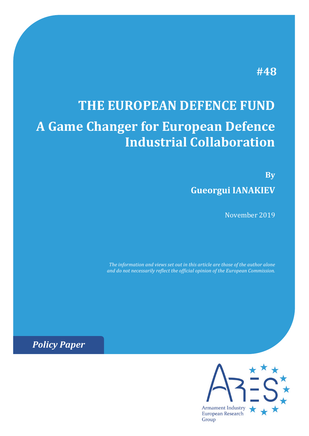## **#48**

# **THE EUROPEAN DEFENCE FUND A Game Changer for European Defence Industrial Collaboration**

**By Gueorgui IANAKIEV**

November 2019

*The information and views set out in this article are those of the author alone and do not necessarily reflect the official opinion of the European Commission.*

*Policy Paper*

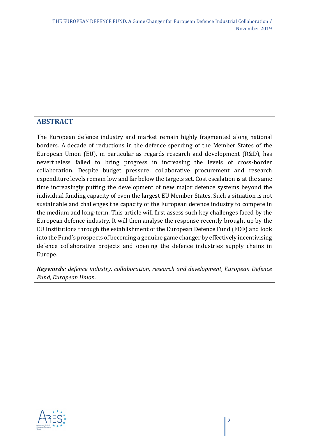#### **ABSTRACT**

The European defence industry and market remain highly fragmented along national borders. A decade of reductions in the defence spending of the Member States of the European Union (EU), in particular as regards research and development (R&D), has nevertheless failed to bring progress in increasing the levels of cross-border collaboration. Despite budget pressure, collaborative procurement and research expenditure levels remain low and far below the targets set. Cost escalation is at the same time increasingly putting the development of new major defence systems beyond the individual funding capacity of even the largest EU Member States. Such a situation is not sustainable and challenges the capacity of the European defence industry to compete in the medium and long-term. This article will first assess such key challenges faced by the European defence industry. It will then analyse the response recently brought up by the EU Institutions through the establishment of the European Defence Fund (EDF) and look into the Fund's prospects of becoming a genuine game changer by effectively incentivising defence collaborative projects and opening the defence industries supply chains in Europe.

*Keywords: defence industry, collaboration, research and development, European Defence Fund, European Union.* 

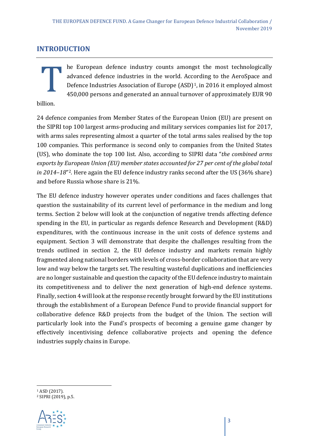#### **INTRODUCTION**

he European defence industry counts amongst the most technologically advanced defence industries in the world. According to the AeroSpace and Defence Industries Association of Europe (ASD)<sup>[1](#page-2-0)</sup>, in 2016 it employed almost 450,000 persons and generated an annual turnover of approximately EUR 90 **billion.** 

24 defence companies from Member States of the European Union (EU) are present on the SIPRI top 100 largest arms-producing and military services companies list for 2017, with arms sales representing almost a quarter of the total arms sales realised by the top 100 companies. This performance is second only to companies from the United States (US), who dominate the top 100 list. Also, according to SIPRI data "*the combined arms exports by European Union (EU) member states accounted for 27 per cent of the global total in 2014–18*["2.](#page-2-1) Here again the EU defence industry ranks second after the US (36% share) and before Russia whose share is 21%.

The EU defence industry however operates under conditions and faces challenges that question the sustainability of its current level of performance in the medium and long terms. Section 2 below will look at the conjunction of negative trends affecting defence spending in the EU, in particular as regards defence Research and Development (R&D) expenditures, with the continuous increase in the unit costs of defence systems and equipment. Section 3 will demonstrate that despite the challenges resulting from the trends outlined in section 2, the EU defence industry and markets remain highly fragmented along national borders with levels of cross-border collaboration that are very low and way below the targets set. The resulting wasteful duplications and inefficiencies are no longer sustainable and question the capacity of the EU defence industry to maintain its competitiveness and to deliver the next generation of high-end defence systems. Finally, section 4 will look at the response recently brought forward by the EU institutions through the establishment of a European Defence Fund to provide financial support for collaborative defence R&D projects from the budget of the Union. The section will particularly look into the Fund's prospects of becoming a genuine game changer by effectively incentivising defence collaborative projects and opening the defence industries supply chains in Europe.

<span id="page-2-1"></span><span id="page-2-0"></span><sup>2</sup> SIPRI (2019), p.5.



<sup>1</sup> ASD (2017).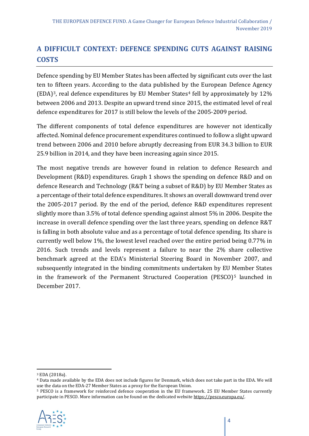## **A DIFFICULT CONTEXT: DEFENCE SPENDING CUTS AGAINST RAISING COSTS**

Defence spending by EU Member States has been affected by significant cuts over the last ten to fifteen years. According to the data published by the European Defence Agency (EDA)<sup>[3](#page-3-0)</sup>, real defence expenditures by EU Member States<sup>[4](#page-3-1)</sup> fell by approximately by  $12\%$ between 2006 and 2013. Despite an upward trend since 2015, the estimated level of real defence expenditures for 2017 is still below the levels of the 2005-2009 period.

The different components of total defence expenditures are however not identically affected. Nominal defence procurement expenditures continued to follow a slight upward trend between 2006 and 2010 before abruptly decreasing from EUR 34.3 billion to EUR 25.9 billion in 2014, and they have been increasing again since 2015.

The most negative trends are however found in relation to defence Research and Development (R&D) expenditures. Graph 1 shows the spending on defence R&D and on defence Research and Technology (R&T being a subset of R&D) by EU Member States as a percentage of their total defence expenditures. It shows an overall downward trend over the 2005-2017 period. By the end of the period, defence R&D expenditures represent slightly more than 3.5% of total defence spending against almost 5% in 2006. Despite the increase in overall defence spending over the last three years, spending on defence R&T is falling in both absolute value and as a percentage of total defence spending. Its share is currently well below 1%, the lowest level reached over the entire period being 0.77% in 2016. Such trends and levels represent a failure to near the 2% share collective benchmark agreed at the EDA's Ministerial Steering Board in November 2007, and subsequently integrated in the binding commitments undertaken by EU Member States in the framework of the Permanent Structured Cooperation (PESCO)<sup>[5](#page-3-2)</sup> launched in December 2017.

<span id="page-3-2"></span><sup>&</sup>lt;sup>5</sup> PESCO is a framework for reinforced defence cooperation in the EU framework. 25 EU Member States currently participate in PESCO. More information can be found on the dedicated websit[e https://pesco.europa.eu/.](https://pesco.europa.eu/)



<span id="page-3-0"></span><sup>3</sup> EDA (2018a).

<span id="page-3-1"></span><sup>4</sup> Data made available by the EDA does not include figures for Denmark, which does not take part in the EDA. We will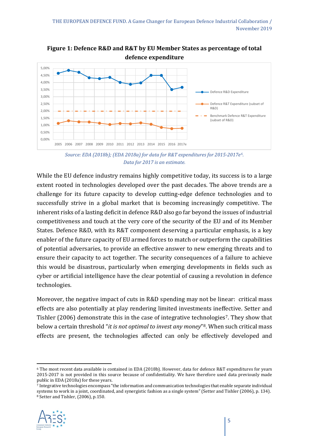

**Figure 1: Defence R&D and R&T by EU Member States as percentage of total defence expenditure**

*Source: EDA (2018b); (EDA 2018a) for data for R&T expenditures for 2015-2017e[6.](#page-4-0) Data for 2017 is an estimate.*

While the EU defence industry remains highly competitive today, its success is to a large extent rooted in technologies developed over the past decades. The above trends are a challenge for its future capacity to develop cutting-edge defence technologies and to successfully strive in a global market that is becoming increasingly competitive. The inherent risks of a lasting deficit in defence R&D also go far beyond the issues of industrial competitiveness and touch at the very core of the security of the EU and of its Member States. Defence R&D, with its R&T component deserving a particular emphasis, is a key enabler of the future capacity of EU armed forces to match or outperform the capabilities of potential adversaries, to provide an effective answer to new emerging threats and to ensure their capacity to act together. The security consequences of a failure to achieve this would be disastrous, particularly when emerging developments in fields such as cyber or artificial intelligence have the clear potential of causing a revolution in defence technologies.

Moreover, the negative impact of cuts in R&D spending may not be linear: critical mass effects are also potentially at play rendering limited investments ineffective. Setter and Tishler (2006) demonstrate this in the case of integrative technologies<sup>[7](#page-4-1)</sup>. They show that below a certain threshold "*it is not optimal to invest any money*"[8.](#page-4-2) When such critical mass effects are present, the technologies affected can only be effectively developed and

<span id="page-4-2"></span><span id="page-4-1"></span><sup>7</sup> Integrative technologies encompass "the information and communication technologies that enable separate individual systems to work in a joint, coordinated, and synergistic fashion as a single system" (Setter and Tishler (2006), p. 134). <sup>8</sup> Setter and Tishler, (2006), p.150.



<span id="page-4-0"></span><sup>6</sup> The most recent data available is contained in EDA (2018b). However, data for defence R&T expenditures for years 2015-2017 is not provided in this source because of confidentiality. We have therefore used data previously made public in EDA (2018a) for these years.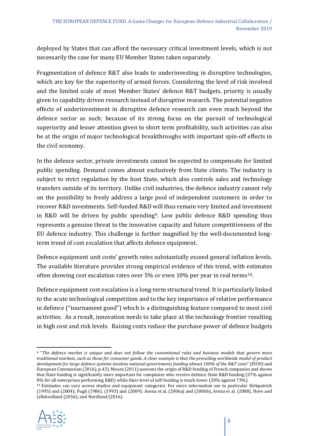deployed by States that can afford the necessary critical investment levels, which is not necessarily the case for many EU Member States taken separately.

Fragmentation of defence R&T also leads to underinvesting in disruptive technologies, which are key for the superiority of armed forces. Considering the level of risk involved and the limited scale of most Member States' defence R&T budgets, priority is usually given to capability driven research instead of disruptive research. The potential negative effects of underinvestment in disruptive defence research can even reach beyond the defence sector as such: because of its strong focus on the pursuit of technological superiority and lesser attention given to short term profitability, such activities can also be at the origin of major technological breakthroughs with important spin-off effects in the civil economy.

In the defence sector, private investments cannot be expected to compensate for limited public spending. Demand comes almost exclusively from State clients. The industry is subject to strict regulation by the host State, which also controls sales and technology transfers outside of its territory. Unlike civil industries, the defence industry cannot rely on the possibility to freely address a large pool of independent customers in order to recover R&D investments. Self-funded R&D will thus remain very limited and investment in R&D will be driven by public spending<sup>[9](#page-5-0)</sup>. Low public defence R&D spending thus represents a genuine threat to the innovative capacity and future competitiveness of the EU defence industry. This challenge is further magnified by the well-documented longterm trend of cost escalation that affects defence equipment.

Defence equipment unit costs' growth rates substantially exceed general inflation levels. The available literature provides strong empirical evidence of this trend, with estimates often showing cost escalation rates over 5% or even 10% per year in real terms[10](#page-5-1).

Defence equipment cost escalation is a long-term structural trend. It is particularly linked to the acute technological competition and to the key importance of relative performance in defence ("tournament good") which is a distinguishing feature compared to most civil activities. As a result, innovation needs to take place at the technology frontier resulting in high cost and risk levels. Raising costs reduce the purchase power of defence budgets

<span id="page-5-1"></span><sup>10</sup> Estimates can vary across studies and equipment categories. For more information see in particular Kirkpatrick (1995) and (2004); Pugh (1986), (1993) and (2009); Arena et al. (2006a) and (2006b), Arena et al. (2008), Hove and Lillekvelland (2016); and Nordlund (2016).



<span id="page-5-0"></span><sup>9</sup> "*The defence market is unique and does not follow the conventional rules and business models that govern more traditional markets, such as those for consumer goods. A clear example is that the prevailing worldwide model of product development for large defence systems involves national governments funding almost 100% of the R&T costs*" (EUISS and European Commission (2016), p.43). Moura (2011) assesses the origin of R&D funding of French companies and shows that State funding is significantly more important for companies who receive defence State R&D funding (37% against 8% for all enterprises performing R&D) while their level of self-funding is much lower (20% against 73%).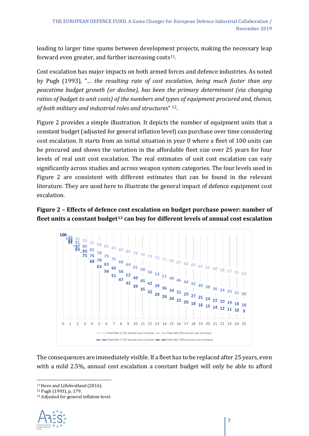leading to larger time spams between development projects, making the necessary leap forward even greater, and further increasing costs $11$ .

Cost escalation has major impacts on both armed forces and defence industries. As noted by Pugh (1993), "*… the resulting rate of cost escalation, being much faster than any peacetime budget growth (or decline), has been the primary determinant (via changing ratios of budget to unit costs) of the numbers and types of equipment procured and, thence, of both military and industrial roles and structures*" [12](#page-6-1).

Figure 2 provides a simple illustration. It depicts the number of equipment units that a constant budget (adjusted for general inflation level) can purchase over time considering cost escalation. It starts from an initial situation in year 0 where a fleet of 100 units can be procured and shows the variation in the affordable fleet size over 25 years for four levels of real unit cost escalation. The real estimates of unit cost escalation can vary significantly across studies and across weapon system categories. The four levels used in Figure 2 are consistent with different estimates that can be found in the relevant literature. They are used here to illustrate the general impact of defence equipment cost escalation.

#### **Figure 2 – Effects of defence cost escalation on budget purchase power: number of fleet units a constant budget[13](#page-6-2) can buy for different levels of annual cost escalation**



The consequences are immediately visible. If a fleet has to be replaced after 25 years, even with a mild 2.5%, annual cost escalation a constant budget will only be able to afford

<span id="page-6-2"></span><span id="page-6-1"></span><sup>13</sup> Adjusted for general inflation level.



<span id="page-6-0"></span><sup>11</sup> Hove and Lillekvelland (2016).

<sup>12</sup> Pugh (1993), p. 179.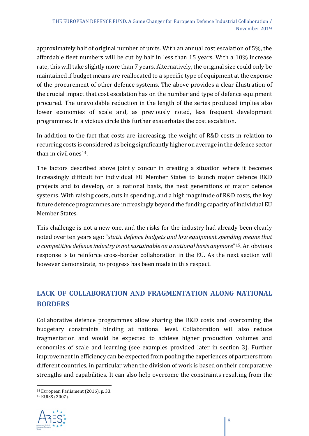approximately half of original number of units. With an annual cost escalation of 5%, the affordable fleet numbers will be cut by half in less than 15 years. With a 10% increase rate, this will take slightly more than 7 years. Alternatively, the original size could only be maintained if budget means are reallocated to a specific type of equipment at the expense of the procurement of other defence systems. The above provides a clear illustration of the crucial impact that cost escalation has on the number and type of defence equipment procured. The unavoidable reduction in the length of the series produced implies also lower economies of scale and, as previously noted, less frequent development programmes. In a vicious circle this further exacerbates the cost escalation.

In addition to the fact that costs are increasing, the weight of R&D costs in relation to recurring costs is considered as being significantly higher on average in the defence sector than in civil ones[14.](#page-7-0)

The factors described above jointly concur in creating a situation where it becomes increasingly difficult for individual EU Member States to launch major defence R&D projects and to develop, on a national basis, the next generations of major defence systems. With raising costs, cuts in spending, and a high magnitude of R&D costs, the key future defence programmes are increasingly beyond the funding capacity of individual EU Member States.

This challenge is not a new one, and the risks for the industry had already been clearly noted over ten years ago: "*static defence budgets and low equipment spending means that a competitive defence industry is not sustainable on a national basis anymore*"[15](#page-7-1). An obvious response is to reinforce cross-border collaboration in the EU. As the next section will however demonstrate, no progress has been made in this respect.

### **LACK OF COLLABORATION AND FRAGMENTATION ALONG NATIONAL BORDERS**

Collaborative defence programmes allow sharing the R&D costs and overcoming the budgetary constraints binding at national level. Collaboration will also reduce fragmentation and would be expected to achieve higher production volumes and economies of scale and learning (see examples provided later in section 3). Further improvement in efficiency can be expected from pooling the experiences of partners from different countries, in particular when the division of work is based on their comparative strengths and capabilities. It can also help overcome the constraints resulting from the

<span id="page-7-1"></span><span id="page-7-0"></span><sup>15</sup> EUISS (2007).



<sup>14</sup> European Parliament (2016), p. 33.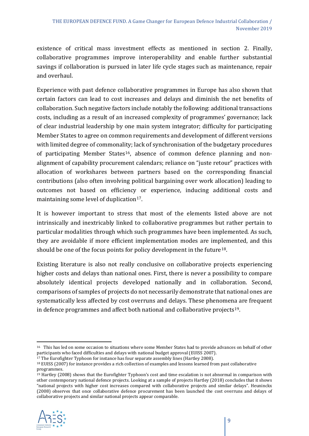existence of critical mass investment effects as mentioned in section 2. Finally, collaborative programmes improve interoperability and enable further substantial savings if collaboration is pursued in later life cycle stages such as maintenance, repair and overhaul.

Experience with past defence collaborative programmes in Europe has also shown that certain factors can lead to cost increases and delays and diminish the net benefits of collaboration. Such negative factors include notably the following: additional transactions costs, including as a result of an increased complexity of programmes' governance; lack of clear industrial leadership by one main system integrator; difficulty for participating Member States to agree on common requirements and development of different versions with limited degree of commonality; lack of synchronisation of the budgetary procedures of participating Member States<sup>16</sup>, absence of common defence planning and nonalignment of capability procurement calendars; reliance on "juste retour" practices with allocation of workshares between partners based on the corresponding financial contributions (also often involving political bargaining over work allocation) leading to outcomes not based on efficiency or experience, inducing additional costs and maintaining some level of duplication<sup>[17](#page-8-1)</sup>.

It is however important to stress that most of the elements listed above are not intrinsically and inextricably linked to collaborative programmes but rather pertain to particular modalities through which such programmes have been implemented. As such, they are avoidable if more efficient implementation modes are implemented, and this should be one of the focus points for policy development in the future<sup>18</sup>.

Existing literature is also not really conclusive on collaborative projects experiencing higher costs and delays than national ones. First, there is never a possibility to compare absolutely identical projects developed nationally and in collaboration. Second, comparisons of samples of projects do not necessarily demonstrate that national ones are systematically less affected by cost overruns and delays. These phenomena are frequent in defence programmes and affect both national and collaborative projects[19.](#page-8-3)

<span id="page-8-3"></span><span id="page-8-2"></span> $19$  Hartley (2008) shows that the Eurofighter Typhoon's cost and time escalation is not abnormal in comparison with other contemporary national defence projects. Looking at a sample of projects Hartley (2018) concludes that it shows "national projects with higher cost increases compared with collaborative projects and similar delays". Heuninckx (2008) observes that once collaborative defence procurement has been launched the cost overruns and delays of collaborative projects and similar national projects appear comparable.



<span id="page-8-0"></span><sup>16</sup> This has led on some occasion to situations where some Member States had to provide advances on behalf of other participants who faced difficulties and delays with national budget approval (EUISS 2007).<br><sup>17</sup> The Eurofighter Typhoon for instance has four separate assembly lines (Hartley 2008).

<span id="page-8-1"></span><sup>&</sup>lt;sup>18</sup> EUISS (2007) for instance provides a rich collection of examples and lessons learned from past collaborative programmes.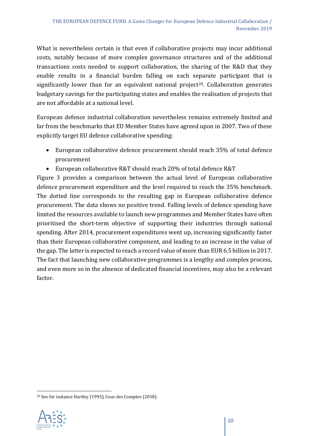What is nevertheless certain is that even if collaborative projects may incur additional costs, notably because of more complex governance structures and of the additional transactions costs needed to support collaboration, the sharing of the R&D that they enable results in a financial burden falling on each separate participant that is significantly lower than for an equivalent national project<sup>20</sup>. Collaboration generates budgetary savings for the participating states and enables the realisation of projects that are not affordable at a national level.

European defence industrial collaboration nevertheless remains extremely limited and far from the benchmarks that EU Member States have agreed upon in 2007. Two of these explicitly target EU defence collaborative spending:

- European collaborative defence procurement should reach 35% of total defence procurement
- European collaborative R&T should reach 20% of total defence R&T

Figure 3 provides a comparison between the actual level of European collaborative defence procurement expenditure and the level required to reach the 35% benchmark. The dotted line corresponds to the resulting gap in European collaborative defence procurement. The data shows no positive trend. Falling levels of defence spending have limited the resources available to launch new programmes and Member States have often prioritised the short-term objective of supporting their industries through national spending. After 2014, procurement expenditures went up, increasing significantly faster than their European collaborative component, and leading to an increase in the value of the gap. The latter is expected to reach a record value of more than EUR 6.5 billion in 2017. The fact that launching new collaborative programmes is a lengthy and complex process, and even more so in the absence of dedicated financial incentives, may also be a relevant factor.

<span id="page-9-0"></span><sup>20</sup> See for instance Hartley (1993), Cour des Comptes (2018).

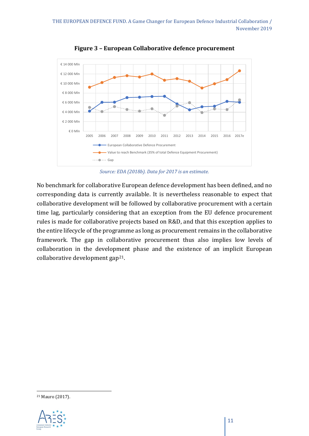

**Figure 3 – European Collaborative defence procurement**

*Source: EDA (2018b). Data for 2017 is an estimate.*

No benchmark for collaborative European defence development has been defined, and no corresponding data is currently available. It is nevertheless reasonable to expect that collaborative development will be followed by collaborative procurement with a certain time lag, particularly considering that an exception from the EU defence procurement rules is made for collaborative projects based on R&D, and that this exception applies to the entire lifecycle of the programme as long as procurement remains in the collaborative framework. The gap in collaborative procurement thus also implies low levels of collaboration in the development phase and the existence of an implicit European collaborative development gap[21.](#page-10-0)

<span id="page-10-0"></span><sup>21</sup> Mauro (2017).

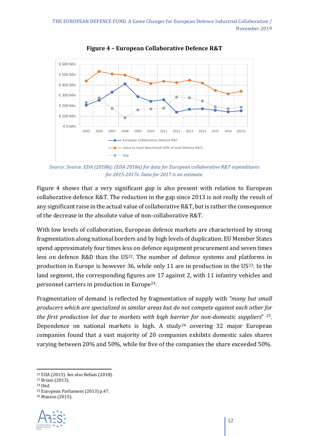

**Figure 4 – European Collaborative Defence R&T**

*Source: Source: EDA (2018b); (EDA 2018a) for data for European collaborative R&T expenditures for 2015-2017e. Data for 2017 is an estimate.*

Figure 4 shows that a very significant gap is also present with relation to European collaborative defence R&T. The reduction in the gap since 2013 is not really the result of any significant raise in the actual value of collaborative R&T, but is rather the consequence of the decrease in the absolute value of non-collaborative R&T.

With low levels of collaboration, European defence markets are characterised by strong fragmentation along national borders and by high levels of duplication. EU Member States spend approximately four times less on defence equipment procurement and seven times less on defence R&D than the US<sup>[22](#page-11-0)</sup>. The number of defence systems and platforms in production in Europe is however 36, while only 11 are in production in the  $US^{23}$  $US^{23}$  $US^{23}$ . In the land segment, the corresponding figures are 17 against 2, with 11 infantry vehicles and personnel carriers in production in Europe[24](#page-11-2).

Fragmentation of demand is reflected by fragmentation of supply with *"many but small producers which are specialized in similar areas but do not compete against each other for the first production lot due to markets with high barrier for non-domestic suppliers*" [25](#page-11-3). Dependence on national markets is high. A study<sup>[26](#page-11-4)</sup> covering 32 major European companies found that a vast majority of 20 companies exhibits domestic sales shares varying between 20% and 50%, while for five of the companies the share exceeded 50%.

<span id="page-11-4"></span><span id="page-11-3"></span><span id="page-11-2"></span><sup>26</sup> Masson (2015).



<span id="page-11-1"></span><span id="page-11-0"></span><sup>22</sup> EDA (2013). See also Bellais (2018). 23 Briani (2013).

<sup>24</sup> Ibid.

<sup>25</sup> European Parliament (2013) p.47.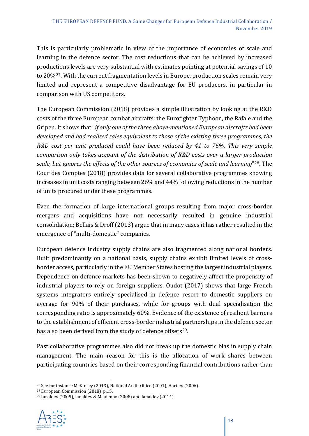This is particularly problematic in view of the importance of economies of scale and learning in the defence sector. The cost reductions that can be achieved by increased productions levels are very substantial with estimates pointing at potential savings of 10 to 20%<sup>[27](#page-12-0)</sup>. With the current fragmentation levels in Europe, production scales remain very limited and represent a competitive disadvantage for EU producers, in particular in comparison with US competitors.

The European Commission (2018) provides a simple illustration by looking at the R&D costs of the three European combat aircrafts: the Eurofighter Typhoon, the Rafale and the Gripen. It shows that "*if only one of the three above-mentioned European aircrafts had been developed and had realised sales equivalent to those of the existing three programmes, the R&D cost per unit produced could have been reduced by 41 to 76%. This very simple comparison only takes account of the distribution of R&D costs over a larger production scale, but ignores the effects of the other sources of economies of scale and learning*"[28.](#page-12-1) The Cour des Comptes (2018) provides data for several collaborative programmes showing increases in unit costs ranging between 26% and 44% following reductions in the number of units procured under these programmes.

Even the formation of large international groups resulting from major cross-border mergers and acquisitions have not necessarily resulted in genuine industrial consolidation; Bellais & Droff (2013) argue that in many cases it has rather resulted in the emergence of "multi-domestic" companies.

European defence industry supply chains are also fragmented along national borders. Built predominantly on a national basis, supply chains exhibit limited levels of crossborder access, particularly in the EU Member States hosting the largest industrial players. Dependence on defence markets has been shown to negatively affect the propensity of industrial players to rely on foreign suppliers. Oudot (2017) shows that large French systems integrators entirely specialised in defence resort to domestic suppliers on average for 90% of their purchases, while for groups with dual specialisation the corresponding ratio is approximately 60%. Evidence of the existence of resilient barriers to the establishment of efficient cross-border industrial partnerships in the defence sector has also been derived from the study of defence offsets<sup>29</sup>.

Past collaborative programmes also did not break up the domestic bias in supply chain management. The main reason for this is the allocation of work shares between participating countries based on their corresponding financial contributions rather than

<span id="page-12-2"></span><span id="page-12-1"></span><sup>29</sup> Ianakiev (2005), Ianakiev & Mladenov (2008) and Ianakiev (2014).



<span id="page-12-0"></span><sup>27</sup> See for instance McKinsey (2013), National Audit Office (2001), Hartley (2006).

<sup>28</sup> European Commission (2018), p.15.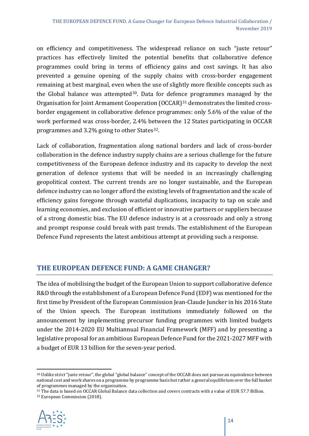on efficiency and competitiveness. The widespread reliance on such "juste retour" practices has effectively limited the potential benefits that collaborative defence programmes could bring in terms of efficiency gains and cost savings. It has also prevented a genuine opening of the supply chains with cross-border engagement remaining at best marginal, even when the use of slightly more flexible concepts such as the Global balance was attempted<sup>[30](#page-13-0)</sup>. Data for defence programmes managed by the Organisation for Joint Armament Cooperation (OCCAR)<sup>[31](#page-13-1)</sup> demonstrates the limited crossborder engagement in collaborative defence programmes: only 5.6% of the value of the work performed was cross-border, 2.4% between the 12 States participating in OCCAR programmes and 3.2% going to other States<sup>[32](#page-13-2)</sup>.

Lack of collaboration, fragmentation along national borders and lack of cross-border collaboration in the defence industry supply chains are a serious challenge for the future competitiveness of the European defence industry and its capacity to develop the next generation of defence systems that will be needed in an increasingly challenging geopolitical context. The current trends are no longer sustainable, and the European defence industry can no longer afford the existing levels of fragmentation and the scale of efficiency gains foregone through wasteful duplications, incapacity to tap on scale and learning economies, and exclusion of efficient or innovative partners or suppliers because of a strong domestic bias. The EU defence industry is at a crossroads and only a strong and prompt response could break with past trends. The establishment of the European Defence Fund represents the latest ambitious attempt at providing such a response.

#### **THE EUROPEAN DEFENCE FUND: A GAME CHANGER?**

The idea of mobilising the budget of the European Union to support collaborative defence R&D through the establishment of a European Defence Fund (EDF) was mentioned for the first time by President of the European Commission Jean-Claude Juncker in his 2016 State of the Union speech. The European institutions immediately followed on the announcement by implementing precursor funding programmes with limited budgets under the 2014-2020 EU Multiannual Financial Framework (MFF) and by presenting a legislative proposal for an ambitious European Defence Fund for the 2021-2027 MFF with a budget of EUR 13 billion for the seven-year period.

<span id="page-13-2"></span><span id="page-13-1"></span><sup>32</sup> European Commission (2018).



<span id="page-13-0"></span><sup>&</sup>lt;sup>30</sup> Unlike strict "juste retour", the global "global balance" concept of the OCCAR does not pursue an equivalence between national cost and work shares on a programme by programme basis but rather a general equilibrium over the full basket of programmes managed by the organisation.

<sup>31</sup> The data is based on OCCAR Global Balance data collection and covers contracts with a value of EUR 57.7 Billion.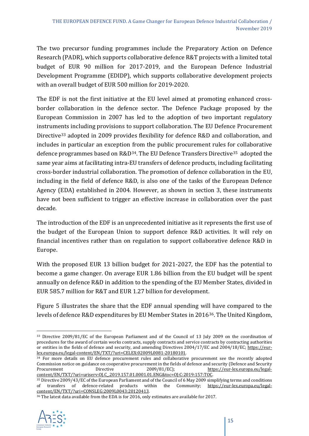The two precursor funding programmes include the Preparatory Action on Defence Research (PADR), which supports collaborative defence R&T projects with a limited total budget of EUR 90 million for 2017-2019, and the European Defence Industrial Development Programme (EDIDP), which supports collaborative development projects with an overall budget of EUR 500 million for 2019-2020.

The EDF is not the first initiative at the EU level aimed at promoting enhanced crossborder collaboration in the defence sector. The Defence Package proposed by the European Commission in 2007 has led to the adoption of two important regulatory instruments including provisions to support collaboration. The EU Defence Procurement Directive<sup>[33](#page-14-0)</sup> adopted in 2009 provides flexibility for defence R&D and collaboration, and includes in particular an exception from the public procurement rules for collaborative defence programmes based on R&D<sup>34</sup>. The EU Defence Transfers Directive<sup>[35](#page-14-2)</sup> adopted the same year aims at facilitating intra-EU transfers of defence products, including facilitating cross-border industrial collaboration. The promotion of defence collaboration in the EU, including in the field of defence R&D, is also one of the tasks of the European Defence Agency (EDA) established in 2004. However, as shown in section 3, these instruments have not been sufficient to trigger an effective increase in collaboration over the past decade.

The introduction of the EDF is an unprecedented initiative as it represents the first use of the budget of the European Union to support defence R&D activities. It will rely on financial incentives rather than on regulation to support collaborative defence R&D in Europe.

With the proposed EUR 13 billion budget for 2021-2027, the EDF has the potential to become a game changer. On average EUR 1.86 billion from the EU budget will be spent annually on defence R&D in addition to the spending of the EU Member States, divided in EUR 585.7 million for R&T and EUR 1.27 billion for development.

Figure 5 illustrates the share that the EDF annual spending will have compared to the levels of defence R&D expenditures by EU Member States in 2016[36](#page-14-3). The United Kingdom,

<span id="page-14-3"></span><sup>36</sup> The latest data available from the EDA is for 2016, only estimates are available for 2017.



<span id="page-14-0"></span><sup>33</sup> Directive 2009/81/EC of the European Parliament and of the Council of 13 July 2009 on the coordination of procedures for the award of certain works contracts, supply contracts and service contracts by contracting authorities or entities in the fields of defence and security, and amending Directives 2004/17/EC and 2004/18/EC; https://eur-<br>lex.europa.eu/legal-content/EN/TXT/?uri=CELEX:02009L0081-20180101.

<span id="page-14-1"></span><sup>34</sup> For more details on EU defence procurement rules and collaborative procurement see the recently adopted Commission notice on guidance on cooperative procurement in the fields of defence and security (Defence and Security<br>Procurement Directive 2009/81/EC): https://eur-lex.europa.eu/legal[https://eur-lex.europa.eu/legal](https://eur-lex.europa.eu/legal-content/EN/TXT/?uri=uriserv:OJ.C_.2019.157.01.0001.01.ENG&toc=OJ:C:2019:157:TOC)[content/EN/TXT/?uri=uriserv:OJ.C\\_.2019.157.01.0001.01.ENG&toc=OJ:C:2019:157:TOC.](https://eur-lex.europa.eu/legal-content/EN/TXT/?uri=uriserv:OJ.C_.2019.157.01.0001.01.ENG&toc=OJ:C:2019:157:TOC)

<span id="page-14-2"></span><sup>&</sup>lt;sup>35</sup> Directive 2009/43/EC of the European Parliament and of the Council of 6 May 2009 simplifying terms and conditions of transfers of defence-related products within the Community; https://eur-lex.europa.eu/legalof transfers of defence-related products within the [content/EN/TXT/?uri=CONSLEG:2009L0043:20120413.](https://eur-lex.europa.eu/legal-content/EN/TXT/?uri=CONSLEG:2009L0043:20120413)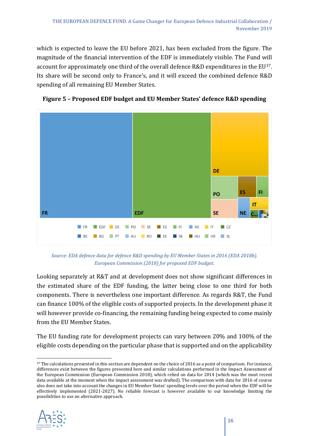which is expected to leave the EU before 2021, has been excluded from the figure. The magnitude of the financial intervention of the EDF is immediately visible. The Fund will account for approximately one third of the overall defence R&D expenditures in the EU[37](#page-15-0). Its share will be second only to France's, and it will exceed the combined defence R&D spending of all remaining EU Member States.



**Figure 5 – Proposed EDF budget and EU Member States' defence R&D spending**

*Source: EDA defence data for defence R&D spending by EU Member States in 2016 (EDA 2018b). European Commission (2018) for proposed EDF budget.*

Looking separately at R&T and at development does not show significant differences in the estimated share of the EDF funding, the latter being close to one third for both components. There is nevertheless one important difference. As regards R&T, the Fund can finance 100% of the eligible costs of supported projects. In the development phase it will however provide co-financing, the remaining funding being expected to come mainly from the EU Member States.

The EU funding rate for development projects can vary between 20% and 100% of the eligible costs depending on the particular phase that is supported and on the applicability

<span id="page-15-0"></span><sup>&</sup>lt;sup>37</sup> The calculations presented in this section are dependent on the choice of 2016 as a point of comparison. For instance, differences exist between the figures presented here and similar calculations performed in the Impact Assessment of the European Commission (European Commission 2018), which relied on data for 2014 (which was the most recent data available at the moment when the impact assessment was drafted). The comparison with data for 2016 of course also does not take into account the changes in EU Member States' spending levels over the period when the EDF will be effectively implemented (2021-2027). No reliable forecast is however available to our knowledge limiting the possibilities to use an alternative approach.

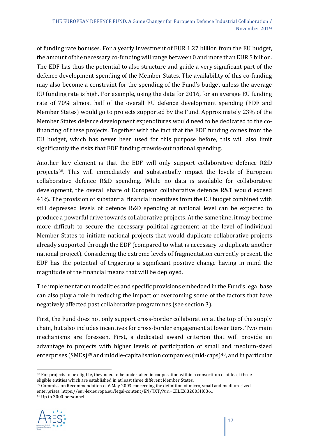of funding rate bonuses. For a yearly investment of EUR 1.27 billion from the EU budget, the amount of the necessary co-funding will range between 0 and more than EUR 5 billion. The EDF has thus the potential to also structure and guide a very significant part of the defence development spending of the Member States. The availability of this co-funding may also become a constraint for the spending of the Fund's budget unless the average EU funding rate is high. For example, using the data for 2016, for an average EU funding rate of 70% almost half of the overall EU defence development spending (EDF and Member States) would go to projects supported by the Fund. Approximately 23% of the Member States defence development expenditures would need to be dedicated to the cofinancing of these projects. Together with the fact that the EDF funding comes from the EU budget, which has never been used for this purpose before, this will also limit significantly the risks that EDF funding crowds-out national spending.

Another key element is that the EDF will only support collaborative defence R&D projects[38.](#page-16-0) This will immediately and substantially impact the levels of European collaborative defence R&D spending. While no data is available for collaborative development, the overall share of European collaborative defence R&T would exceed 41%. The provision of substantial financial incentives from the EU budget combined with still depressed levels of defence R&D spending at national level can be expected to produce a powerful drive towards collaborative projects. At the same time, it may become more difficult to secure the necessary political agreement at the level of individual Member States to initiate national projects that would duplicate collaborative projects already supported through the EDF (compared to what is necessary to duplicate another national project). Considering the extreme levels of fragmentation currently present, the EDF has the potential of triggering a significant positive change having in mind the magnitude of the financial means that will be deployed.

The implementation modalities and specific provisions embedded in the Fund's legal base can also play a role in reducing the impact or overcoming some of the factors that have negatively affected past collaborative programmes (see section 3).

First, the Fund does not only support cross-border collaboration at the top of the supply chain, but also includes incentives for cross-border engagement at lower tiers. Two main mechanisms are foreseen. First, a dedicated award criterion that will provide an advantage to projects with higher levels of participation of small and medium-sized enterprises (SMEs)<sup>[39](#page-16-1)</sup> and middle-capitalisation companies (mid-caps)<sup>40</sup>, and in particular

<span id="page-16-2"></span><span id="page-16-1"></span><sup>40</sup> Up to 3000 personnel.



<span id="page-16-0"></span><sup>&</sup>lt;sup>38</sup> For projects to be eligible, they need to be undertaken in cooperation within a consortium of at least three eligible entities which are established in at least three different Member States.

<sup>&</sup>lt;sup>39</sup> Commission Recommendation of 6 May 2003 concerning the definition of micro, small and medium-sized enterprises[. https://eur-lex.europa.eu/legal-content/EN/TXT/?uri=CELEX:32003H0361](https://eur-lex.europa.eu/legal-content/EN/TXT/?uri=CELEX:32003H0361)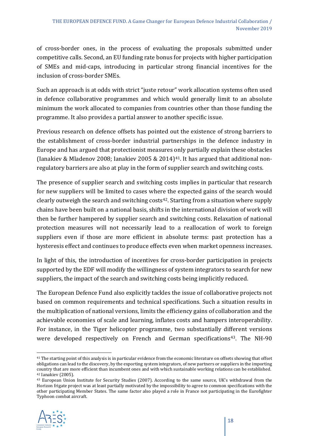of cross-border ones, in the process of evaluating the proposals submitted under competitive calls. Second, an EU funding rate bonus for projects with higher participation of SMEs and mid-caps, introducing in particular strong financial incentives for the inclusion of cross-border SMEs.

Such an approach is at odds with strict "juste retour" work allocation systems often used in defence collaborative programmes and which would generally limit to an absolute minimum the work allocated to companies from countries other than those funding the programme. It also provides a partial answer to another specific issue.

Previous research on defence offsets has pointed out the existence of strong barriers to the establishment of cross-border industrial partnerships in the defence industry in Europe and has argued that protectionist measures only partially explain these obstacles (Ianakiev & Mladenov 2008; Ianakiev 2005 & 2014)<sup>[41](#page-17-0)</sup>. It has argued that additional nonregulatory barriers are also at play in the form of supplier search and switching costs.

The presence of supplier search and switching costs implies in particular that research for new suppliers will be limited to cases where the expected gains of the search would clearly outweigh the search and switching costs<sup>[42](#page-17-1)</sup>. Starting from a situation where supply chains have been built on a national basis, shifts in the international division of work will then be further hampered by supplier search and switching costs. Relaxation of national protection measures will not necessarily lead to a reallocation of work to foreign suppliers even if those are more efficient in absolute terms: past protection has a hysteresis effect and continues to produce effects even when market openness increases.

In light of this, the introduction of incentives for cross-border participation in projects supported by the EDF will modify the willingness of system integrators to search for new suppliers, the impact of the search and switching costs being implicitly reduced.

The European Defence Fund also explicitly tackles the issue of collaborative projects not based on common requirements and technical specifications. Such a situation results in the multiplication of national versions, limits the efficiency gains of collaboration and the achievable economies of scale and learning, inflates costs and hampers interoperability. For instance, in the Tiger helicopter programme, two substantially different versions were developed respectively on French and German specifications<sup>43</sup>. The NH-90

<span id="page-17-2"></span><span id="page-17-1"></span><sup>43</sup> European Union Institute for Security Studies (2007). According to the same source, UK's withdrawal from the Horizon frigate project was at least partially motivated by the impossibility to agree to common specifications with the other participating Member States. The same factor also played a role in France not participating in the Eurofighter Typhoon combat aircraft.



<span id="page-17-0"></span><sup>41</sup> The starting point of this analysis is in particular evidence from the economic literature on offsets showing that offset obligations can lead to the discovery, by the exporting system integrators, of new partners or suppliers in the importing country that are more efficient than incumbent ones and with which sustainable working relations can be established. <sup>42</sup> Ianakiev (2005).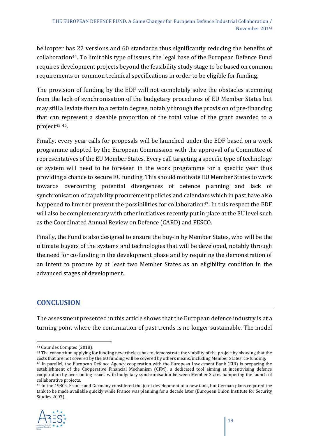helicopter has 22 versions and 60 standards thus significantly reducing the benefits of collaboration<sup>44</sup>. To limit this type of issues, the legal base of the European Defence Fund requires development projects beyond the feasibility study stage to be based on common requirements or common technical specifications in order to be eligible for funding.

The provision of funding by the EDF will not completely solve the obstacles stemming from the lack of synchronisation of the budgetary procedures of EU Member States but may still alleviate them to a certain degree, notably through the provision of pre-financing that can represent a sizeable proportion of the total value of the grant awarded to a project[45](#page-18-1) [46.](#page-18-2)

Finally, every year calls for proposals will be launched under the EDF based on a work programme adopted by the European Commission with the approval of a Committee of representatives of the EU Member States. Every call targeting a specific type of technology or system will need to be foreseen in the work programme for a specific year thus providing a chance to secure EU funding. This should motivate EU Member States to work towards overcoming potential divergences of defence planning and lack of synchronisation of capability procurement policies and calendars which in past have also happened to limit or prevent the possibilities for collaboration<sup>47</sup>. In this respect the EDF will also be complementary with other initiatives recently put in place at the EU level such as the Coordinated Annual Review on Defence (CARD) and PESCO.

Finally, the Fund is also designed to ensure the buy-in by Member States, who will be the ultimate buyers of the systems and technologies that will be developed, notably through the need for co-funding in the development phase and by requiring the demonstration of an intent to procure by at least two Member States as an eligibility condition in the advanced stages of development.

#### **CONCLUSION**

The assessment presented in this article shows that the European defence industry is at a turning point where the continuation of past trends is no longer sustainable. The model

<span id="page-18-3"></span><sup>47</sup> In the 1980s, France and Germany considered the joint development of a new tank, but German plans required the tank to be made available quickly while France was planning for a decade later (European Union Institute for Security Studies 2007).



<span id="page-18-0"></span><sup>44</sup> Cour des Comptes (2018).

<span id="page-18-2"></span><span id="page-18-1"></span><sup>&</sup>lt;sup>45</sup> The consortium applying for funding nevertheless has to demonstrate the viability of the project by showing that the costs that are not covered by the EU funding will be covered by others means, including Member State 46 In parallel, the European Defence Agency cooperation with the European Investment Bank (EIB) is preparing the establishment of the Cooperative Financial Mechanism (CFM), a dedicated tool aiming at incentivising defence cooperation by overcoming issues with budgetary synchronisation between Member States hampering the launch of collaborative projects.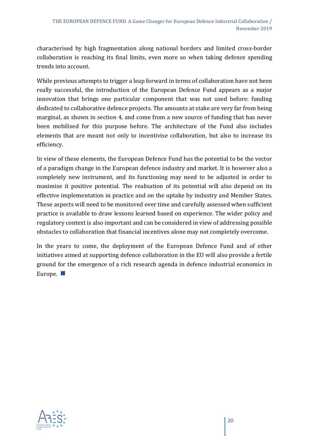characterised by high fragmentation along national borders and limited cross-border collaboration is reaching its final limits, even more so when taking defence spending trends into account.

While previous attempts to trigger a leap forward in terms of collaboration have not been really successful, the introduction of the European Defence Fund appears as a major innovation that brings one particular component that was not used before: funding dedicated to collaborative defence projects. The amounts at stake are very far from being marginal, as shown in section 4, and come from a new source of funding that has never been mobilised for this purpose before. The architecture of the Fund also includes elements that are meant not only to incentivise collaboration, but also to increase its efficiency.

In view of these elements, the European Defence Fund has the potential to be the vector of a paradigm change in the European defence industry and market. It is however also a completely new instrument, and its functioning may need to be adjusted in order to maximise it positive potential. The realisation of its potential will also depend on its effective implementation in practice and on the uptake by industry and Member States. These aspects will need to be monitored over time and carefully assessed when sufficient practice is available to draw lessons learned based on experience. The wider policy and regulatory context is also important and can be considered in view of addressing possible obstacles to collaboration that financial incentives alone may not completely overcome.

In the years to come, the deployment of the European Defence Fund and of other initiatives aimed at supporting defence collaboration in the EU will also provide a fertile ground for the emergence of a rich research agenda in defence industrial economics in Europe.  $\blacksquare$ 

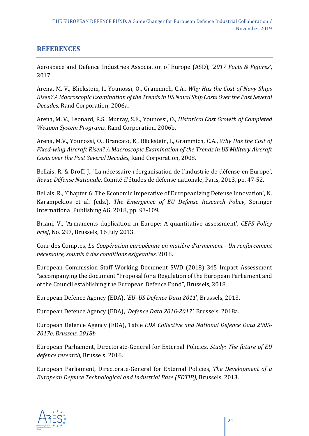#### **REFERENCES**

Aerospace and Defence Industries Association of Europe (ASD), *'2017 Facts & Figures'*, 2017.

Arena, M. V., Blickstein, I., Younossi, O., Grammich, C.A., *Why Has the Cost of Navy Ships Risen? A Macroscopic Examination of the Trends in US Naval Ship Costs Over the Past Several Decades*, Rand Corporation, 2006a.

Arena, M. V., Leonard, R.S., Murray, S.E., Younossi, O., *Historical Cost Growth of Completed Weapon System Programs*, Rand Corporation, 2006b.

Arena, M.V., Younossi, O., Brancato, K., Blickstein, I., Grammich, C.A., *Why Has the Cost of Fixed-wing Aircraft Risen? A Macroscopic Examination of the Trends in US Military Aircraft Costs over the Past Several Decades*, Rand Corporation, 2008.

Bellais, R. & Droff, J., 'La nécessaire réorganisation de l'industrie de défense en Europe', *Revue Défense Nationale*, Comité d'études de défense nationale, Paris, 2013, pp. 47-52.

Bellais, R., 'Chapter 6: The Economic Imperative of Europeanizing Defense Innovation', N. Karampekios et al. (eds.), *The Emergence of EU Defense Research Policy*, Springer International Publishing AG, 2018, pp. 93-109.

Briani, V., 'Armaments duplication in Europe: A quantitative assessment', *CEPS Policy brief*, No. 297, Brussels, 16 July 2013.

Cour des Comptes, *La Coopération européenne en matière d'armement - Un renforcement nécessaire, soumis à des conditions exigeantes*, 2018.

European Commission Staff Working Document SWD (2018) 345 Impact Assessment "accompanying the document "Proposal for a Regulation of the European Parliament and of the Council establishing the European Defence Fund", Brussels, 2018.

European Defence Agency (EDA), '*EU–US Defence Data 2011*', Brussels, 2013.

European Defence Agency (EDA), '*Defence Data 2016-2017'*, Brussels, 2018a.

European Defence Agency (EDA), Table *EDA Collective and National Defence Data 2005- 2017e, Brussels, 2018b.*

European Parliament, Directorate-General for External Policies, *Study: The future of EU defence research*, Brussels, 2016.

European Parliament, Directorate-General for External Policies, *The Development of a European Defence Technological and Industrial Base (EDTIB)*, Brussels, 2013.

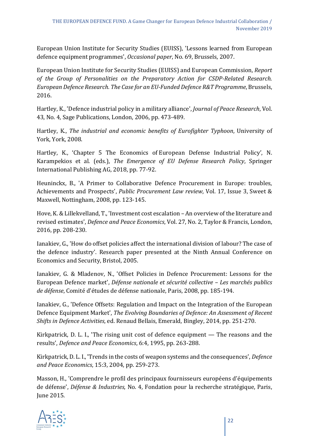European Union Institute for Security Studies (EUISS), 'Lessons learned from European defence equipment programmes', *Occasional paper*, No. 69, Brussels, 2007.

European Union Institute for Security Studies (EUISS) and European Commission, *Report of the Group of Personalities on the Preparatory Action for CSDP-Related Research. European Defence Research. The Case for an EU-Funded Defence R&T Programme*, Brussels, 2016.

Hartley, K., 'Defence industrial policy in a military alliance', *Journal of Peace Research*, Vol. 43, No. 4, Sage Publications, London, 2006, pp. 473-489.

Hartley, K., *The industrial and economic benefits of Eurofighter Typhoon*, University of York, York, 2008.

Hartley, K., 'Chapter 5 The Economics of European Defense Industrial Policy', N. Karampekios et al. (eds.), *The Emergence of EU Defense Research Policy*, Springer International Publishing AG, 2018, pp. 77-92.

Heuninckx, B., 'A Primer to Collaborative Defence Procurement in Europe: troubles, Achievements and Prospects', *Public Procurement Law review*, Vol. 17, Issue 3, Sweet & Maxwell, Nottingham, 2008, pp. 123-145.

Hove, K. & Lillekvelland, T., 'Investment cost escalation – An overview of the literature and revised estimates', *Defence and Peace Economics*, Vol. 27, No. 2, Taylor & Francis, London, 2016, pp. 208-230.

Ianakiev, G., 'How do offset policies affect the international division of labour? The case of the defence industry'. Research paper presented at the Ninth Annual Conference on Economics and Security, Bristol, 2005.

Ianakiev, G. & Mladenov, N., 'Offset Policies in Defence Procurement: Lessons for the European Defence market', *Défense nationale et sécurité collective – Les marchés publics de défense*, Comité d'études de défense nationale, Paris, 2008, pp. 185-194.

Ianakiev, G., 'Defence Offsets: Regulation and Impact on the Integration of the European Defence Equipment Market', *The Evolving Boundaries of Defence: An Assessment of Recent Shifts in Defence Activities*, ed. Renaud Bellais, Emerald, Bingley, 2014, pp. 251-270.

Kirkpatrick, D. L. I., 'The rising unit cost of defence equipment — The reasons and the results', *Defence and Peace Economics*, 6:4, 1995, pp. 263-288.

Kirkpatrick, D. L. I., 'Trends in the costs of weapon systems and the consequences', *Defence and Peace Economics*, 15:3, 2004, pp. 259-273.

Masson, H., 'Comprendre le profil des principaux fournisseurs européens d'équipements de défense', *Défense & Industries*, No. 4, Fondation pour la recherche stratégique, Paris, June 2015.

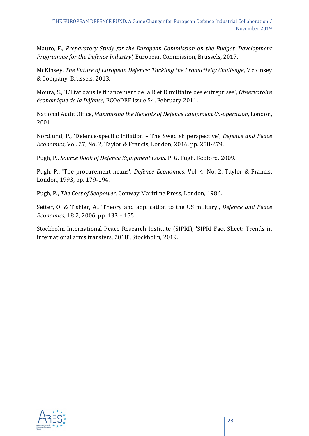Mauro, F., *Preparatory Study for the European Commission on the Budget 'Development Programme for the Defence Industry',* European Commission, Brussels, 2017.

McKinsey, *The Future of European Defence: Tackling the Productivity Challenge*, McKinsey & Company, Brussels, 2013.

Moura, S., 'L'Etat dans le financement de la R et D militaire des entreprises', *Observatoire économique de la Défense*, ECOeDEF issue 54, February 2011.

National Audit Office, *Maximising the Benefits of Defence Equipment Co-operation*, London, 2001.

Nordlund, P., 'Defence-specific inflation – The Swedish perspective', *Defence and Peace Economics*, Vol. 27, No. 2, Taylor & Francis, London, 2016, pp. 258-279.

Pugh, P., *Source Book of Defence Equipment Costs*, P. G. Pugh, Bedford, 2009.

Pugh, P., 'The procurement nexus', *Defence Economics*, Vol. 4, No. 2, Taylor & Francis, London, 1993, pp. 179-194.

Pugh, P., *The Cost of Seapower*, Conway Maritime Press, London, 1986.

Setter, O. & Tishler, A., 'Theory and application to the US military', *Defence and Peace Economics,* 18:2, 2006, pp. 133 – 155.

Stockholm International Peace Research Institute (SIPRI), 'SIPRI Fact Sheet: Trends in international arms transfers, 2018', Stockholm, 2019.